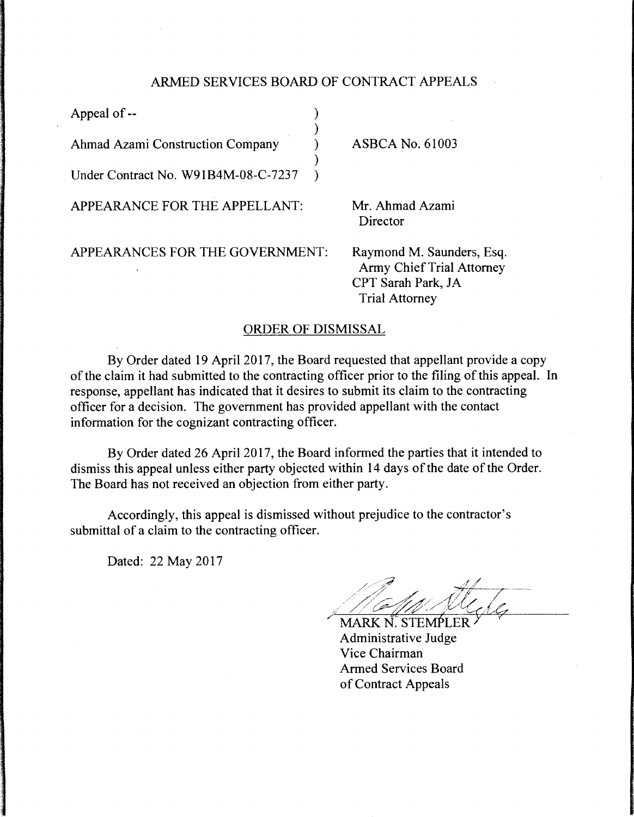## ARMED SERVICES BOARD OF CONTRACT APPEALS

| Appeal of --                        |  |
|-------------------------------------|--|
| Ahmad Azami Construction Company    |  |
| Under Contract No. W91B4M-08-C-7237 |  |
| APPEARANCE FOR THE APPELLANT:       |  |
|                                     |  |

APPEARANCES FOR THE GOVERNMENT:

ASBCA No. 61003

Mr. Ahmad Azami Director

Raymond M. Saunders, Esq. Army Chief Trial Attorney CPT Sarah Park, JA Trial Attorney

## ORDER OF DISMISSAL

By Order dated 19 April 2017, the Board requested that appellant provide a copy of the claim it had submitted to the contracting officer prior to the filing of this appeal. In response, appellant has indicated that it desires to submit its claim to the contracting officer for a decision. The government has provided appellant with the contact information for the cognizant contracting officer.

By Order dated 26 April 2017, the Board informed the parties that it intended to dismiss this appeal unless either party objected within 14 days of the date of the Order. The Board has not received an objection from either party.

Accordingly, this appeal is dismissed without prejudice to the contractor's submittal of a claim to the contracting officer.

Dated: 22 May 2017

*4* I !' "////--:/:~~/'\_ , / {;7{/';/ y---- ,· / /\_ --;:;;:,4\_/ / ' / / /

MARK N. STEMPLER Administrative Judge Vice Chairman Armed Services Board of Contract Appeals